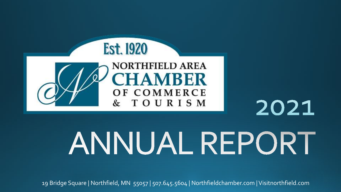

# ANNUAL REPORT

19 Bridge Square | Northfield, MN 55057 | 507.645.5604 | Northfieldchamber.com | Visitnorthfield.com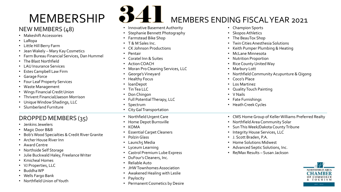#### NEW MEMBERS (48)

- Makeshift Accessories
- LaRopa
- Little Hill Berry Farm
- Jean Wakely Mary Kay Cosmetics
- Farm Bureau Financial Services, Dan Hummel
- The Blast Northfield
- LAU Insurance Services
- Estes Campbell Law Firm
- Garage Force
- Four Leaf Property Services
- Waste Management
- Wings Financial Credit Union
- Thrivent Financial/Jaeson Morrison
- Unique Window Shadings, LLC
- Slumberland Furniture

#### DROPPED MEMBERS (35)

- Jenkins Jewelers
- Magic Door B&B
- Bob's Wood Specialties & Credit River Granite
- Archer House River Inn
- Award Centre
- Northside Self Storage
- Julie Buckwald Haley, Freelance Writer
- Kmicheal Homes
- VJ Properties, LLC
- Buddha WP
- Wells Fargo Bank
- Northfield Union of Youth

MEMBERSHIP  $\bigcirc$  - MEMBERS ENDING FISCAL YEAR 2021

- Innovative Basement Authority
- Stephanie Bennett Photography
- Farmstead Bike Shop
- T & M Sales Inc.
- CK Johnson Productions
- Pentair
- Coratel Inn & Suites
- Action COACH
- Moran Pro Cleaning Services, LLC
- George's Vineyard
- Healthy Focus
- loanDepot
- Tin Tea LLC
- Don Chingon
- Full Potential Therapy, LLC
- Spectrum
- City Gal Transportation
- Northfield Urgent Care
- Home Depot Burnsville
- KOMA
- Essential Carpet Cleaners
- Polzin Glass
- Launch5 Media
- Lyceum Learning
- Castrol Premium Lube Express
- DuFour's Cleaners, Inc.
- Reliable Auto
- JHW Townhomes Association
- Awakened Healing with Leslie
- Paylocity
- Permanent Cosmetics by Desire
- Champion Sports
- Skopos Athletics
- The BeauTox Shop
- Twin Cities Anesthesia Solutions
- Keith Pumper Plumbing & Heating
- McLane Minnesota
- Nutrition Proportion
- Rice County United Way
- Marbury Lott
- Northfield Community Acupunture & Qigong
- Coco's Place
- Los Martinez
- Quality Touch Painting
- V Nails
- Fate Furnishings
- Heath Creek Cycles
- CMS Home Group of Keller Williams Preferred Realty
- Northfield Area Community Solar
- Sun This Week/Dakota County Tribune
- Integrity House Services, LLC
- J. Scott Braden, P.A.
- Home Solutions Midwest
- Advanced Septic Solutions, Inc.
- Re/Max Results Susan Jackson

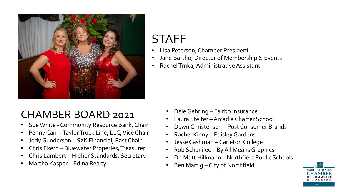

## CHAMBER BOARD 2021

- Sue White Community Resource Bank, Chair
- Penny Carr Taylor Truck Line, LLC, Vice Chair
- Jody Gunderson S2K Financial, Past Chair
- Chris Ekern Bluewater Properies, Treasurer
- Chris Lambert Higher Standards, Secretary
- Martha Kasper Edina Realty

## **STAFF**

- Lisa Peterson, Chamber President
- Jane Bartho, Director of Membership & Events
- Rachel Trnka, Administrative Assistant

- Dale Gehring Fairbo Insurance
- Laura Stelter –Arcadia Charter School
- Dawn Christensen Post Consumer Brands
- Rachel Kinny Paisley Gardens
- Jesse Cashman Carleton College
- Rob Schanilec By All Means Graphics
- Dr. Matt Hillmann Northfield Public Schools
- Ben Martig City of Northfield

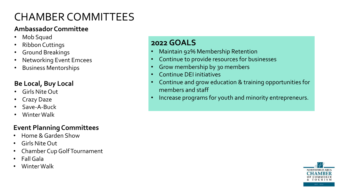## CHAMBER COMMITTEES

#### **Ambassador Committee**

- Mob Squad
- Ribbon Cuttings
- Ground Breakings
- Networking Event Emcees
- Business Mentorships

#### **Be Local, Buy Local**

- Girls Nite Out
- Crazy Daze
- Save-A-Buck
- Winter Walk

#### **Event Planning Committees**

- Home & Garden Show
- Girls Nite Out
- Chamber Cup Golf Tournament
- Fall Gala
- Winter Walk

### **2022 GOALS**

- Maintain 92% Membership Retention
- Continue to provide resources for businesses
- Grow membership by 30 members
- Continue DEI initiatives
- Continue and grow education & training opportunities for members and staff
- Increase programs for youth and minority entrepreneurs.

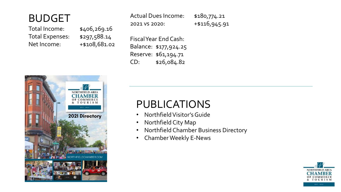## BUDGET

Total Income: \$406,269.16 Total Expenses: \$297,588.14 Net Income: +\$108,681.02

Actual Dues Income: \$180,774.21 2021 vs 2020: +\$116,945.91

Fiscal Year End Cash: Balance: \$177,924.25 Reserve: \$61,194.71 CD: \$26,084.82



## PUBLICATIONS

- Northfield Visitor's Guide
- Northfield City Map
- Northfield Chamber Business Directory
- Chamber Weekly E-News

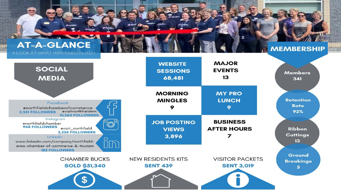#### **AT-A-GLANCE**

A LOOK AT WHAT HAPPENED IN 2021

**MAJOR WEBSITE SOCIAL EVENTS SESSIONS Members** 13 **MEDIA** 68,481  $341$ **MORNING MY PRO MINGLES LUNCH Retention** Facebook **Rate** 9 enorthfieldchamberofcommerce 9 evisitnorthfieldmn 92% **2,351 FOLLOWERS 21,263 FOLLOWERS** Instagram  $\overline{\phantom{a}}$ o **JOB POSTING BUSINESS** enorthfieldchamber  $\circledcirc$ **968 FOLLOWERS** evisit northfield **AFTER HOURS Ribbon VIEWS 2,226 FOLLOWERS Cuttings** 3,896 LinkedIn  $\bigcirc$ 13 www.linkedin.com/company/northfield-Ĭĥ area-chamber-of-commerce-&-tourism **183 FOLLOWERS** Ground **CHAMBER BUCKS NEW RESIDENTS KITS VISITOR PACKETS Breakings SOLD \$51,340 SENT 439 SENT 3,019** 5

**MEMBERSHIP**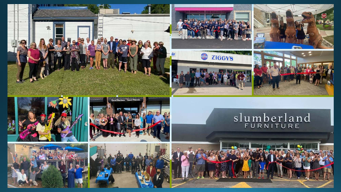